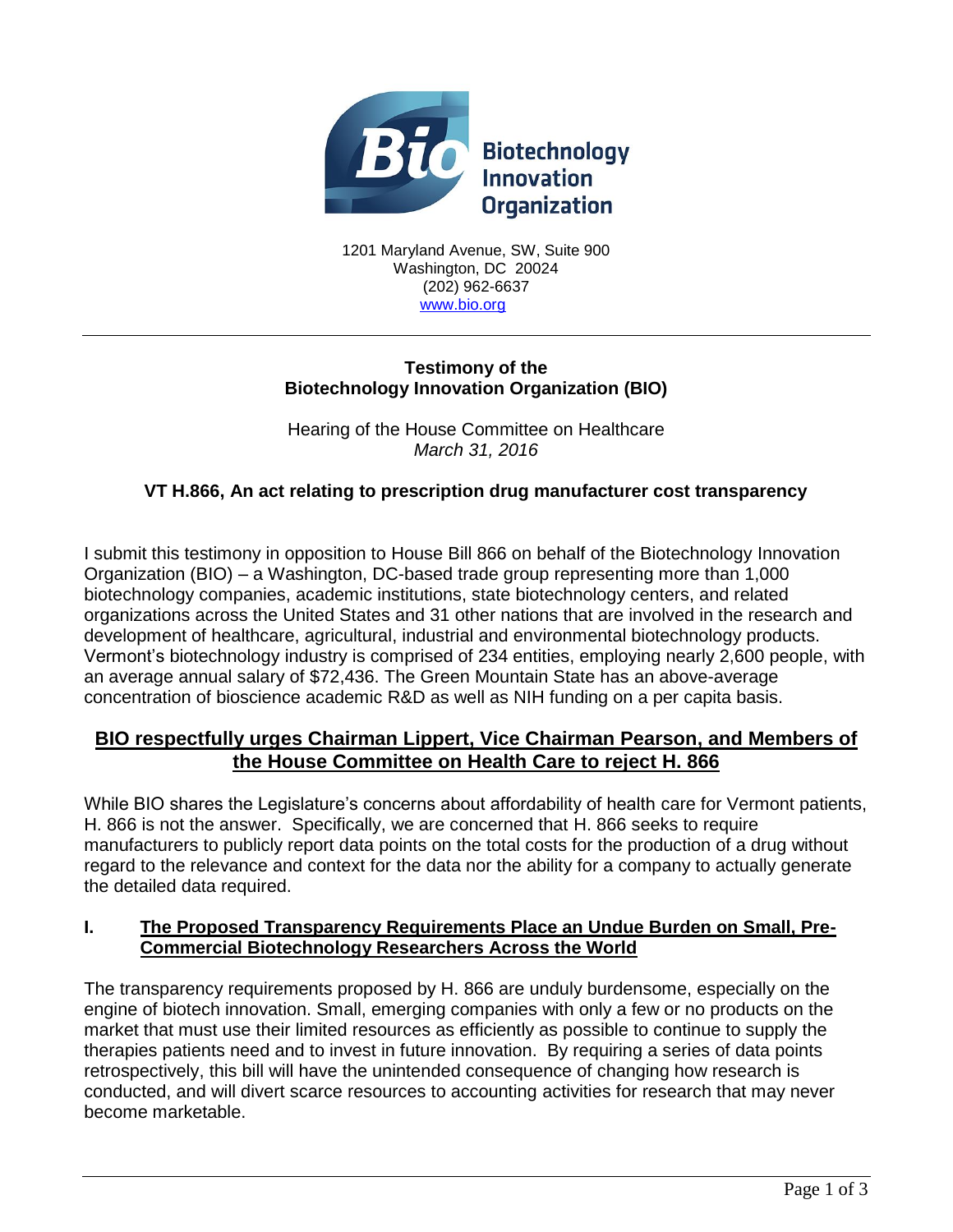

1201 Maryland Avenue, SW, Suite 900 Washington, DC 20024 (202) 962-6637 [www.bio.org](http://www.bio.org/)

### **Testimony of the Biotechnology Innovation Organization (BIO)**

Hearing of the House Committee on Healthcare *March 31, 2016*

# **VT H.866, An act relating to prescription drug manufacturer cost transparency**

I submit this testimony in opposition to House Bill 866 on behalf of the Biotechnology Innovation Organization (BIO) – a Washington, DC-based trade group representing more than 1,000 biotechnology companies, academic institutions, state biotechnology centers, and related organizations across the United States and 31 other nations that are involved in the research and development of healthcare, agricultural, industrial and environmental biotechnology products. Vermont's biotechnology industry is comprised of 234 entities, employing nearly 2,600 people, with an average annual salary of \$72,436. The Green Mountain State has an above-average concentration of bioscience academic R&D as well as NIH funding on a per capita basis.

# **BIO respectfully urges Chairman Lippert, Vice Chairman Pearson, and Members of the House Committee on Health Care to reject H. 866**

While BIO shares the Legislature's concerns about affordability of health care for Vermont patients, H. 866 is not the answer. Specifically, we are concerned that H. 866 seeks to require manufacturers to publicly report data points on the total costs for the production of a drug without regard to the relevance and context for the data nor the ability for a company to actually generate the detailed data required.

### **I. The Proposed Transparency Requirements Place an Undue Burden on Small, Pre-Commercial Biotechnology Researchers Across the World**

The transparency requirements proposed by H. 866 are unduly burdensome, especially on the engine of biotech innovation. Small, emerging companies with only a few or no products on the market that must use their limited resources as efficiently as possible to continue to supply the therapies patients need and to invest in future innovation. By requiring a series of data points retrospectively, this bill will have the unintended consequence of changing how research is conducted, and will divert scarce resources to accounting activities for research that may never become marketable.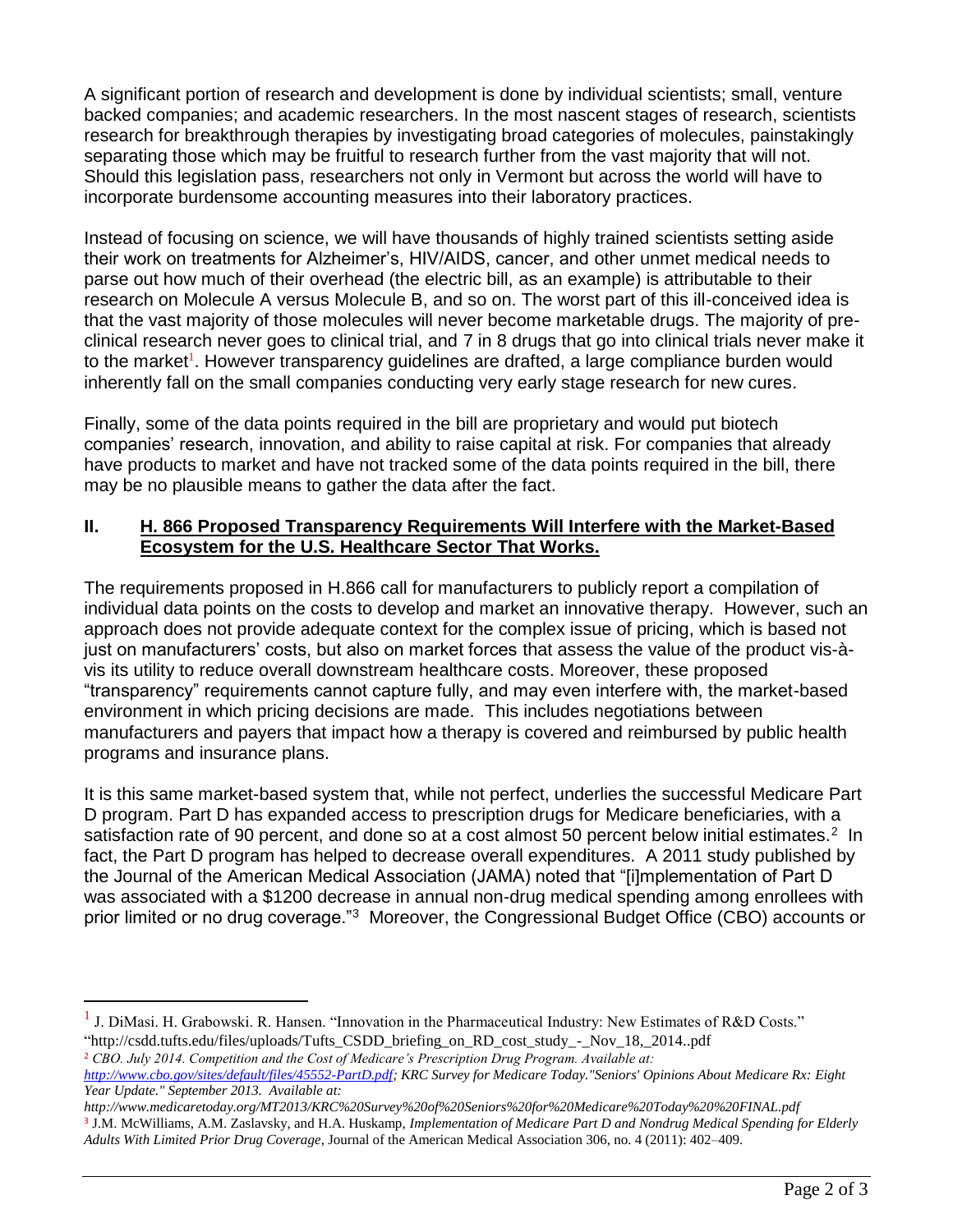A significant portion of research and development is done by individual scientists; small, venture backed companies; and academic researchers. In the most nascent stages of research, scientists research for breakthrough therapies by investigating broad categories of molecules, painstakingly separating those which may be fruitful to research further from the vast majority that will not. Should this legislation pass, researchers not only in Vermont but across the world will have to incorporate burdensome accounting measures into their laboratory practices.

Instead of focusing on science, we will have thousands of highly trained scientists setting aside their work on treatments for Alzheimer's, HIV/AIDS, cancer, and other unmet medical needs to parse out how much of their overhead (the electric bill, as an example) is attributable to their research on Molecule A versus Molecule B, and so on. The worst part of this ill-conceived idea is that the vast majority of those molecules will never become marketable drugs. The majority of preclinical research never goes to clinical trial, and 7 in 8 drugs that go into clinical trials never make it to the market<sup>1</sup>. However transparency guidelines are drafted, a large compliance burden would inherently fall on the small companies conducting very early stage research for new cures.

Finally, some of the data points required in the bill are proprietary and would put biotech companies' research, innovation, and ability to raise capital at risk. For companies that already have products to market and have not tracked some of the data points required in the bill, there may be no plausible means to gather the data after the fact.

#### **II. H. 866 Proposed Transparency Requirements Will Interfere with the Market-Based Ecosystem for the U.S. Healthcare Sector That Works.**

The requirements proposed in H.866 call for manufacturers to publicly report a compilation of individual data points on the costs to develop and market an innovative therapy. However, such an approach does not provide adequate context for the complex issue of pricing, which is based not just on manufacturers' costs, but also on market forces that assess the value of the product vis-àvis its utility to reduce overall downstream healthcare costs. Moreover, these proposed "transparency" requirements cannot capture fully, and may even interfere with, the market-based environment in which pricing decisions are made. This includes negotiations between manufacturers and payers that impact how a therapy is covered and reimbursed by public health programs and insurance plans.

It is this same market-based system that, while not perfect, underlies the successful Medicare Part D program. Part D has expanded access to prescription drugs for Medicare beneficiaries, with a satisfaction rate of 90 percent, and done so at a cost almost 50 percent below initial estimates.<sup>2</sup> In fact, the Part D program has helped to decrease overall expenditures. A 2011 study published by the Journal of the American Medical Association (JAMA) noted that "[i]mplementation of Part D was associated with a \$1200 decrease in annual non-drug medical spending among enrollees with prior limited or no drug coverage."<sup>3</sup> Moreover, the Congressional Budget Office (CBO) accounts or

<sup>1</sup> J. DiMasi. H. Grabowski. R. Hansen. "Innovation in the Pharmaceutical Industry: New Estimates of R&D Costs." "http://csdd.tufts.edu/files/uploads/Tufts\_CSDD\_briefing\_on\_RD\_cost\_study\_-\_Nov\_18,\_2014..pdf

<sup>2</sup> *CBO. July 2014. Competition and the Cost of Medicare's Prescription Drug Program. Available at:* 

 $\overline{a}$ 

*http://www.medicaretoday.org/MT2013/KRC%20Survey%20of%20Seniors%20for%20Medicare%20Today%20%20FINAL.pdf* <sup>3</sup> J.M. McWilliams, A.M. Zaslavsky, and H.A. Huskamp, *Implementation of Medicare Part D and Nondrug Medical Spending for Elderly Adults With Limited Prior Drug Coverage*, Journal of the American Medical Association 306, no. 4 (2011): 402–409.

*[http://www.cbo.gov/sites/default/files/45552-PartD.pdf;](http://www.cbo.gov/sites/default/files/45552-PartD.pdf) KRC Survey for Medicare Today."Seniors' Opinions About Medicare Rx: Eight Year Update." September 2013. Available at:*